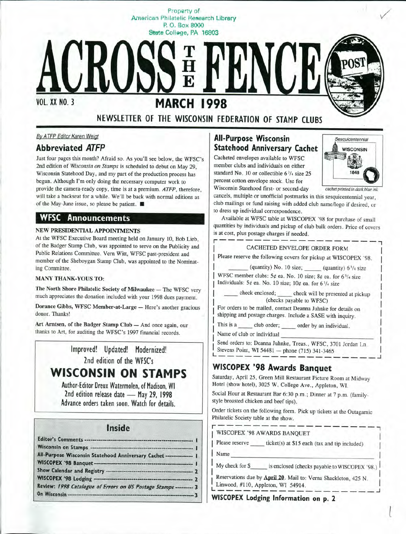Property of American Philatelic Research Library P. 0. Box **8000 State Coll99e, PA 16803** 

**MARCH 1998** 

**NEWSLETTER OF THE WISCONSIN FEDERATION OF STAMP CLUBS** 

VOL. XX NO. 3

# *By ATFP* Editor Karen Weigt

# **Abbreviated ATFP**

Just four pages this month? Afraid so. As you'll see below, the WFSC's 2nd edition of *Wisconsin on Stamps* is scheduled to debut on May 29, Wisconsin Statehood Day, and my part of the production process has begun. Although I'm only doing the necessary computer work to provide the camera-ready copy, time is at a premium. ATFP, therefore, will take a backseat for a while. We'll be back with normal editions as of the May-June issue, so please be patient. ■

#### **WFSC Announcements**

#### **NEW PRESIDENTIAL APPOINTMENTS**

At the WFSC Executive Board meeting held on January 10, Bob Lieb, of the Badger Stamp Club, was appointed to serve on the Publicity and Public Relations Committee. Vern Witt, WFSC past-president and member of the Sheboygan Stamp Club, was appointed to the Nominating Committee.

#### **MANY THANK-YOUS TO:**

**The North Shore Philatelic Society of Milwaukee** - The WFSC very much appreciates the donation included with your 1998 dues payment.

**Dorance Gibbs, WFSC Member-at-Large - Here's another gracious** donor. Thanks!

Art Arntsen, of the Badger Stamp Club - And once again, our thanks to Art, for auditing the WFSC's 1997 financial records.

> Improved! Updated! Modernized! 2nd edition of the WFSC's

# **WISCONSIN ON STAMPS**

Author-Editor Dreux Watermolen, of Madison, WI 2nd edition release date - May 29, 1998 Advance orders taken soon. Watch for details.

#### Inside

| All-Purpose Wisconsin Statehood Anniversary Cachet --------------- I |  |
|----------------------------------------------------------------------|--|
|                                                                      |  |
|                                                                      |  |
|                                                                      |  |
| Review: 1998 Catalogue of Errors on US Postage Stamps ---------- 3   |  |
|                                                                      |  |

#### **All-Purpose Wisconsin Statehood Anniversary Cachet**

Cacheted envelopes available to WFSC member clubs and individuals on either standard No. 10 or collectible  $6\frac{3}{4}$  size 25 percent cotton envelope stock. Use for Wisconsin Statehood first- or second-day *cachet printed in dark blue in<sup>k</sup>*



cancels, multiple or unofficial postmarks in this sesquicentennial year, club mailings or fund raising with added club name/logo if desired, or to dress up individual correspondence.

Available at WFSC table at WISCOPEX '98 for purchase of small quantities by individuals and pickup of club bulk orders. Price of covers is at cost, plus postage charges if needed.



Send orders to: Deanna Juhnke, Treas., WFSC, 3701 Jordan Ln. Stevens Point, WI 54481 - phone (715) 341-3465

## **WISCOPEX '98 Awards Banquet**

Saturday, April 25, Green Mill Restaurant Picture Room at Midway Hotel (show hotel), 3025 W. College Ave., Appleton, WI.

Social Hour at Restaurant Bar 6:30 p.m.; Dinner at 7 p.m. (familystyle broasted chicken and beef tips).

Order tickets on the following form. Pick up tickets at the Outagamie Philatelic Society table at the show.

r------------------7 WISCOPEX '98 AWARDS BANQUET

Please reserve \_\_\_\_\_\_\_ ticket(s) at \$15 each (tax and tip included)

Name \_\_\_\_\_\_\_\_\_\_\_\_\_\_\_\_\_ I

My check for \$ is enclosed (checks payable to WISCOPEX '98.)

l

Reservations due by **April 20**. Mail to: Verna Shackleton, 425 N. Linwood, #110, Appleton, WI 54914.

**WISCOPEX Lodging Information on p. <sup>2</sup>**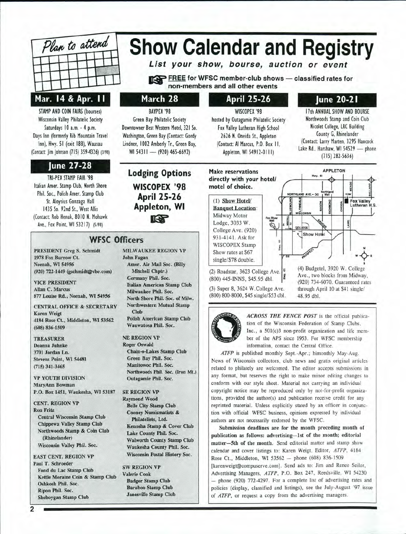

# **Show Calendar and Registry**

**List your show, bourse, auction or event** 

**REE** for WFSC member-club shows - classified rates for **non-members and all other events** 

#### **March 28**

BAYPEX '98 Green Bay Philatelic Society Downtowner Best Western Motel, 321 So. Washington, Green Bay (Contact: Gordy Lindner, 1002 Amberly Tr., Green Bay, WI 54311 - (920) 465-6692)

**Lodging Options WISCOPEX '98** 

#### **April 25-26**

# **June 20-21**

STAMP AND COIN FAIRS (bourses) Wisconsin Valley Philatelic Society Saturdays 10 a.m. - 4 p.m. Days Inn (formerly Rib Mountain Travel Inn), Hwy. 51 (exit 188), Wausau (Contact: Jim Johnson (715) 359-4326) (3/98)

### **June 27-28**

TRI-PEX STAMP FAIR '98 Italian Amer. Stamp Club, North Shore Phil. Soc., Polish Amer. Stamp Club St. Aloysius Gonzaga Hall 1435 So. 92nd St., West Allis (Contact: Rob Henak, 80 IO N. Mohawk Ave., Fox Point, WI 53217) (5/98)

# **April 25-26 Appleton, WI a=-**

### **WFSC Officers**

PRESIDENT Greg S. Schmidt 1978 Fox Burrow Ct. Neenah, WI 54956 (920) 722-1449 (gschmidt@vbe.com)

**VICE PRESIDENT** Allan C. Marcus 877 Louise Rd., Neenah, WI 54956

CENTRAL OFFICE & SECRETARY **Karen Weigt** 4184 Rose Ct., Middleton, WI 53562  $(608) 836 - 1509$ 

**TREASURER** Deanna Juhnke 3701 Jordan Ln. Stevens Point, WI 54481  $(715)$  341-3465

VP YOUTH DIVISION MaryAnn Bowman P.O. Box 1451, Waukesha, WI 53187

**CENT. REGION VP Ron Fritz Central Wisconsin Stamp Club** Chippewa Valley Stamp Club Northwoods Stamp & Coin Club (Rhinelander) Wisconsin Valley Phil. Soc.

**EAST CENT. REGION VP** Paul T. Schroeder Fond du Lac Stamp Club Kettle Moraine Coin & Stamp Club Oshkosh Phil. Soc. Ripon Phil. Soc. Sheboygan Stamp Club

**MILWAUKEE REGION VP John Fagan** Amer. Air Mail Soc. (Billy Mitchell Chptr.) Germany Phil. Soc. **Italian American Stamp Club** Milwaukee Phil. Soc. North Shore Phil. Soc. of Milw. **Northwestern Mutual Stamp** Club Polish American Stamp Club Wauwatosa Phil. Soc.

#### **NE REGION VP**

**Roger Oswald Chain-o-Lakes Stamp Club** Green Bay Phil. Soc. Manitowoc Phil. Soc. Northwoods Phil. Soc. (Iron Mt.) Outagamie Phil. Soc.

**SE REGION VP Raymond Wood Belle City Stamp Club Cooney Numismatists &** Philatelists, Ltd. Kenosha Stamp & Cover Club Lake County Phil. Soc. **Walworth County Stamp Club** Waukesha County Phil. Soc. Wisconsin Postal History Soc.

**SW REGION VP** Valerie Cook **Badger Stamp Club Baraboo Stamp Club Janesville Stamp Club** 

WISCOPEX '98 hosted by Outagamie Philatelic Society Fox Valley Lutheran High School 2626 N. Oneida St., Appleton (Contact: Al Marcus, P.O. Box 11, Appleton, WI 54912-0111)

17th ANNUAL SHOW AND BOURSE Northwoods Stamp and Coin Club Nicolet College, LRC Building County G, Rhinelander (Contact: Larry Marten, 3295 Hancock Lake Rd., Harshaw, WI 54529 - phone (715) 282-5636)

**APPLETON** 

Fox Valley

(4) Budgetel, 3920 W. College Ave., two blocks from Midway, (920) 734-6070. Guaranteed rates through April 10 at \$41 single/

**Hwy, 41** 

Show Hotel

**Make reservations directly with your hotel/ motel of choice.** 

( 1) **Show Hotel/ Banquet Location:**  Midway Motor Lodge , 3033 **W .**  College Ave. (920) 931-4141. Ask for WISCOPEX Stamp Show rates at \$67 single/\$78 double.



(3) Super 8, 3624 W.College Ave. (800) 800-8000, \$45 single/\$53 dbl.



*ACROSS THE FENCE POST* is the official publication of the Wisconsin Federation of Stamp Clubs, Inc., a 501(c)3 non-profit organization and life members ber of the APS since 1953. For WFSC membership tion of the Wisconsin Federation of Stamp Clubs, Inc., a  $501(c)3$  non-profit organization and life member of the APS since 1953. For WFSC membership information, contact the Central Office.

48.95 dbl.

ł

矽

ATFP is published monthly Sept.-Apr.; bimonthly May-Aug. News of Wisconsin collectors, club news and gratis original articles related to philately are welcomed. The editor accepts submissions in any format, but reserves the right to make minor editing changes to conform with our style sheet. Material not carrying an individual copyright notice may be reproduced only by not-for-profit organizations, provided the author(s) and publication receive credit for any reprinted material. Unless explicitly stated by an officer in conjunction with official WFSC business, opinions expressed by individual authors are not necessarily endorsed by the WFSC.

Submission deadlines are for the month preceding month of publication as follows: advertising-1st of the month; editorial **matter-5th of the month.** Send editorial matter and stamp show calendar and cover listings to: Karen Weigl, Editor, *ATFP,* 4184 Rose Ct., Middleton, WI 53562 - phone (608) 836-1509 [karenweigt@compuserve.com]. Send ads to: Jim and Renee Seiler, Advertising Managers, *ATFP,* P.O. Box 247 , Reedsville, WI 54230 - phone (920) 772-4297. For a complete list of advertising rates and policies (display, classified and listings), see the July-August '97 issue of *ATFP,* or request a copy from the advertising managers.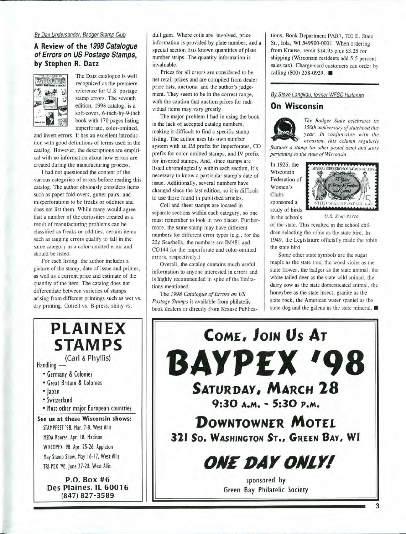#### Bv Dan Undersander. Badger Stamp Club

#### **A Review of the 1998 Catalogue of Errors on US Postage Stamps, by Stephen R. Datz**



The Datz catalogue is well recognized as the premiere reference for U.S. postage stamp errors. The seventh edition, 1998 catalog, is a soft-cover, 6-inch-by-9-inch book with 170 pages listing imperforate, color-omitted,

and invert errors. It has an excellent introduction with good definitions of terms used in the catalog. However, the descriptions are empirical with no information about how errors are created during the manufacturing process.

I had not questioned the content of the various categories of errors before reading this catalog. The author obviously considers items such as paper fold-overs, gutter pairs, and misperforations to be freaks or oddities and does not list them. While many would agree that a number of the curiosities created as a result of manufacturing problems can be classified as freaks or oddities, certain items such as tagging errors qualify to fall in the same category as a color-omitted error and should be listed.

For each listing, the author includes a picture of the stamp, date of issue and printer, as well as a current price and estimate of the quantity of the item. The catalog does not differentiate between varieties of stamps arising from different printings such as wet vs. dry printing, Cotrell vs. B-press, shiny vs.

dull gum. Where coils are involved, price information is provided by plate number, and a special section lists known quantities of plate number strips. The quantity information is invaluable.

Prices for all errors are considered to be net retail prices and are compiled from dealer price lists, auctions, and the author's judgement. They seem to be in the correct range, with the caution that auction prices for individual items may vary greatly.

The major problem I had in using the book is the lack of accepted catalog numbers, making it difficult to find a specific stamp listing. The author uses his own number system with an IM prefix for imperforates, CO prefix for color-omitted stamps, and IV prefix for inverted stamps. And, since stamps are listed chronologically within each section, it's necessary to know a particular stamp's date of issue. Additionally, several numbers have changed since the last edition, so it is difficult to use those found in published articles.

Coil and sheet stamps are located in separate sections within each category, so one must remember to look in two places. Furthermore, the same stamp may have different numbers for different error types (e.g., for the 22¢ Seashells, the numbers are IM481 and CO144 for the imporforate and color-omitted errors, respectively.)

Overall, the catalog contains much useful information to anyone interested in errors and is highly recommended in spite of the limitations mentioned.

The *1998 Catalogue of Errors on US Postage Stamps* is available from philatelic book dealers or directly from Krause Publications, Book Department PAR7, 700 E. State St., Iola, WI 549900-0001. When ordering from Krause, remit \$14.95 plus \$3 .25 for shipping (Wisconsin residents add 5.5 percent sales tax). Charge-card customers can order by calling (800) 258-0929. ■

#### Bv Steve Langkau, former WFSC Historian

#### **On Wisconsin**



The Badger State celebrates its 150th anniversary of statehood this year. In conjunction with the occasion, this column regularly features a stamp (or other postal item) and story *150th anniversary of statehood this year.* In conjunction with the *occasion, this column regularly* 

*pertaining to the state of Wisconsin.* 

In 1926, the Wisconsin Federation of Women's Clubs sponsored a study of birds



in the schools *US. Scou #1316* 

of the state. This resulted in the school children selecting the robin as the state bird. In 1949, the Legislature officially made the robin the state bird.

Some other state symbols are the sugar maple as the state tree, the wood violet as the state flower, the badger as the state animal, the white-tailed deer as the state wild animal, the dairy cow as the state domesticated animal, the honeybee as the state insect, granite as the state rock, the American water spaniel as the state dog and the galena as the state mineral.



**PLAINEX STAMPS**  (Carl & Phyllis) Handling -• Germany & Colonies • Great Britain & Colonies • japan • Switzerland • Most other major European countries **See us at these Wisconsin shows:**  STAMPFEST '98, Mar. 7-8, West Allis MSDA Bourse, Apr. 18, Madison WISCOPEX '98, Apr. 25-26, Appleton May Stamp Show, May 16-17, West Allis TRI-PEX '98, June 27-28, West Allis **P.O. Box #6 Des Plaines, IL 60016** 

**(847) 827-3589**